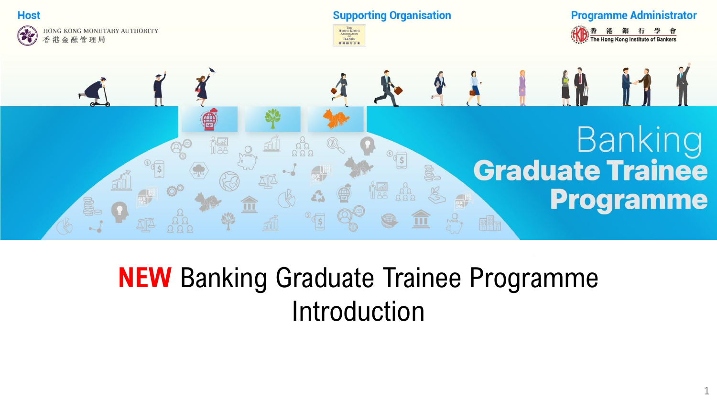

### **NEW** Banking Graduate Trainee Programme Introduction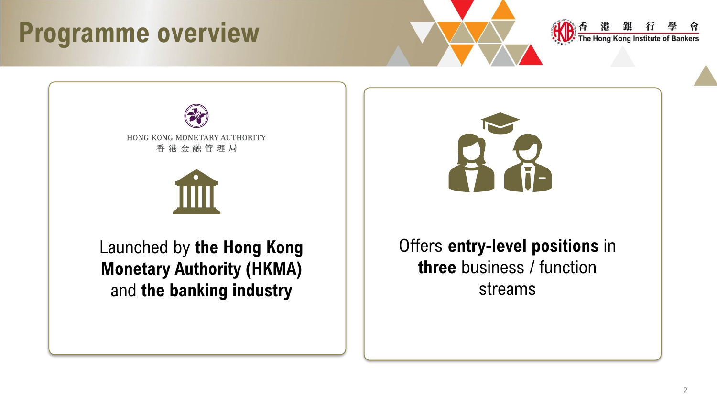### **Programme overview**







Launched by **the Hong Kong Monetary Authority (HKMA)**  and **the banking industry**



#### Offers **entry-level positions** in **three** business / function streams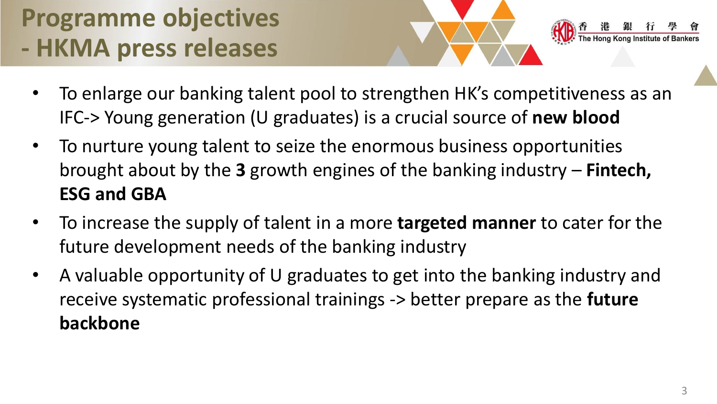### **Programme objectives - HKMA press releases**

- To enlarge our banking talent pool to strengthen HK's competitiveness as an IFC-> Young generation (U graduates) is a crucial source of **new blood**
- To nurture young talent to seize the enormous business opportunities brought about by the **3** growth engines of the banking industry – **Fintech, ESG and GBA**
- To increase the supply of talent in a more **targeted manner** to cater for the future development needs of the banking industry
- A valuable opportunity of U graduates to get into the banking industry and receive systematic professional trainings -> better prepare as the **future backbone**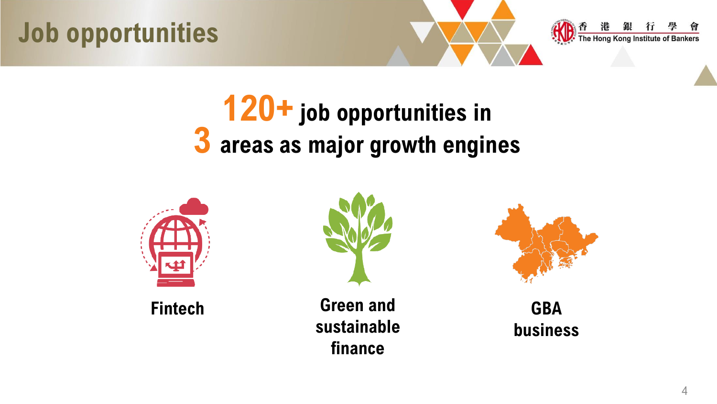



## **120+ job opportunities in 3 areas as major growth engines**





**Fintech Green and sustainable finance**



**GBA business**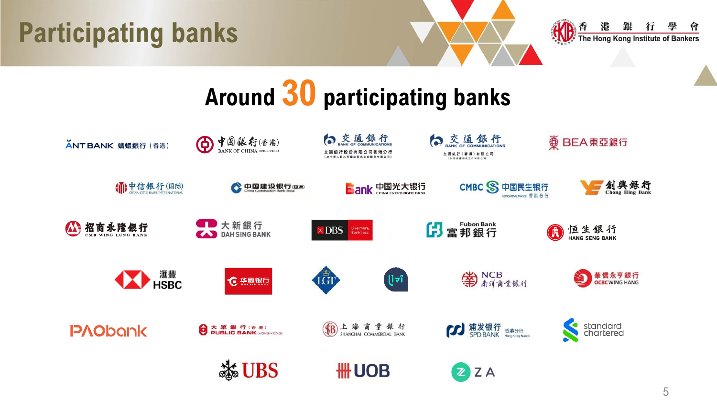



# **Around 30 participating banks**

| ANT BANK 螞蟻銀行 (香港) | ← 中国銀行(香港)<br><b>BANK OF CHINA (HONG KONG)</b> | 白交通銀行<br>銀行股份有限公司香港分行            | 交通銀行<br>交通銀行 (香港) 有限公司<br>技術連接用成立的有限公開 |                         |
|--------------------|------------------------------------------------|----------------------------------|----------------------------------------|-------------------------|
| (1) 中信银行(国际)       | 中国建设银行(亞洲)                                     | <b>BOOK 中国光大银行</b>               | CMBC S 中国民生银行<br>HONGKONG BRANCH 番港分行  | 創興銀行                    |
| A 招商永隆銀行           | ■■大新銀行<br>DAH SING BANK                        | DBS  <br>Live more,<br>Bank less | 63 富邦銀行                                | 恒生銀行<br>HANG SENG BANK  |
| <b>KY HSBC</b>     | <b>℃ 焦累银行</b>                                  | LGT<br>lial                      | 第NCB                                   | 華僑永亨銀行<br>OCBCWING HANG |
| <b>P/lObank</b>    | 大眾銀行(香港)<br>PUBLIC BANK (HONG KONG)            | (B)上海商業銀行                        | <b>第发银行 香港分行</b>                       | standard<br>chartered   |
|                    | <b>Solution</b>                                | # UOB                            | $Z$ ZA                                 |                         |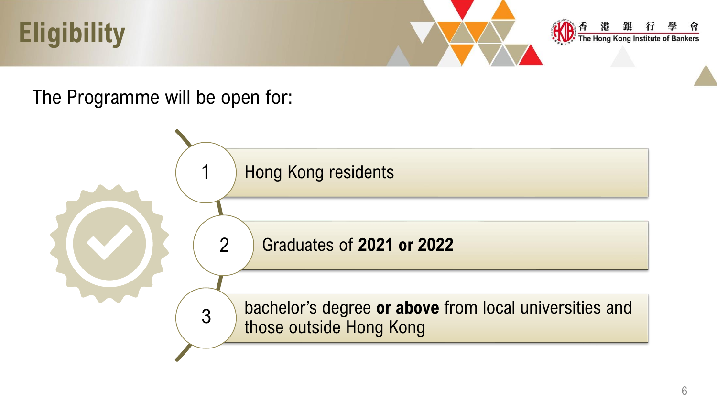



#### The Programme will be open for:

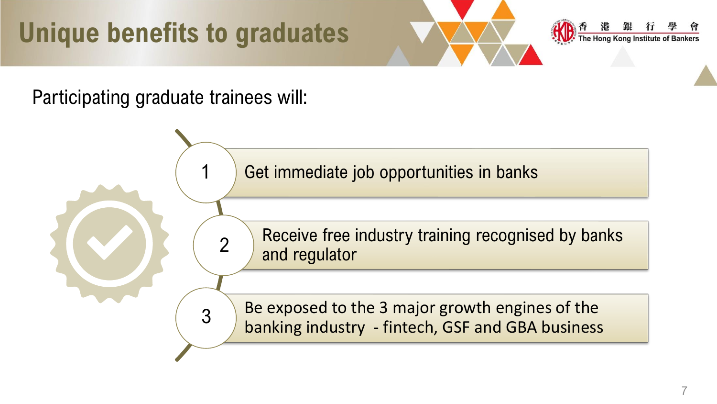## **Unique benefits to graduates**



Participating graduate trainees will:

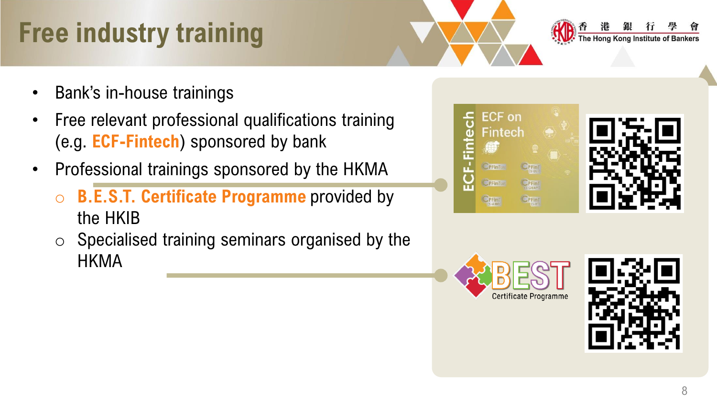## **Free industry training**

- Bank's in-house trainings
- Free relevant professional qualifications training (e.g. **ECF-Fintech**) sponsored by bank
- Professional trainings sponsored by the HKMA
	- o **B.E.S.T. Certificate Programme** provided by the HKIB
	- $\circ$  Specialised training seminars organised by the HKMA







The Hong Kong Institute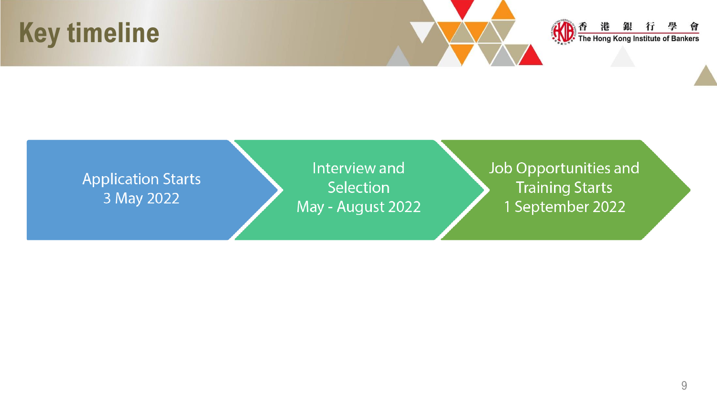### **Key timeline**



#### **Application Starts** 3 May 2022

Interview and Selection May - August 2022 Job Opportunities and **Training Starts** 1 September 2022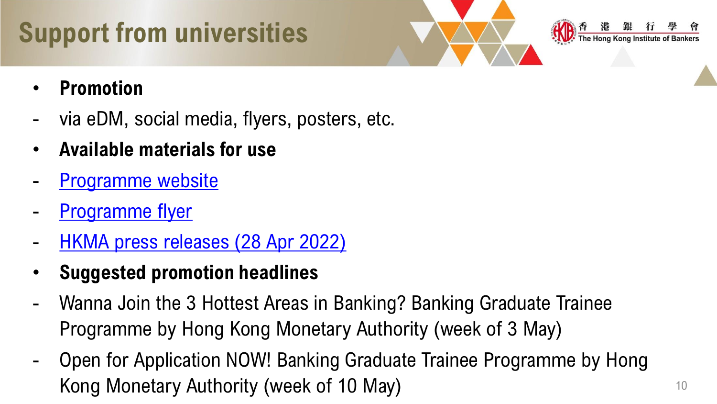## **Support from universities**



- **Promotion**
- via eDM, social media, flyers, posters, etc.
- **Available materials for use**
- [Programme website](https://www.hkib.org/page/216)
- [Programme flyer](https://www.hkib.org/storage/photos/7/BGTP_flyer.pdf)
- [HKMA press releases \(28 Apr 2022\)](https://www.hkma.gov.hk/eng/news-and-media/press-releases/2022/04/20220428-3/)
- **Suggested promotion headlines**
- Wanna Join the 3 Hottest Areas in Banking? Banking Graduate Trainee Programme by Hong Kong Monetary Authority (week of 3 May)
- Open for Application NOW! Banking Graduate Trainee Programme by Hong Kong Monetary Authority (week of 10 May)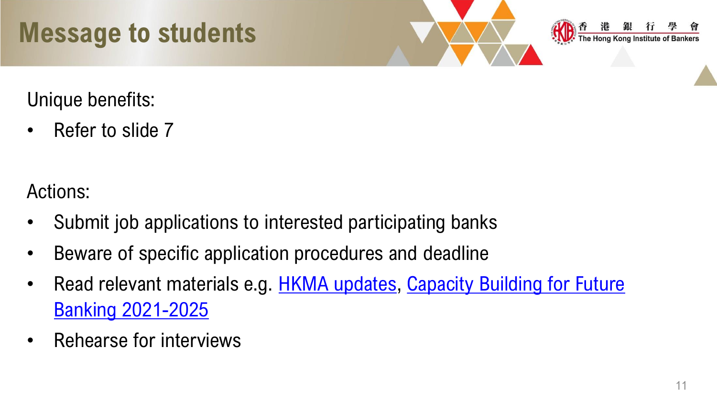## **Message to students**



Unique benefits:

• Refer to slide 7

Actions:

- Submit job applications to interested participating banks
- Beware of specific application procedures and deadline
- Read relevant materials e.g. **H[KMA updates](https://www.hkma.gov.hk/eng/), Capacity Building for Future** Banking 2021-2025
- Rehearse for interviews